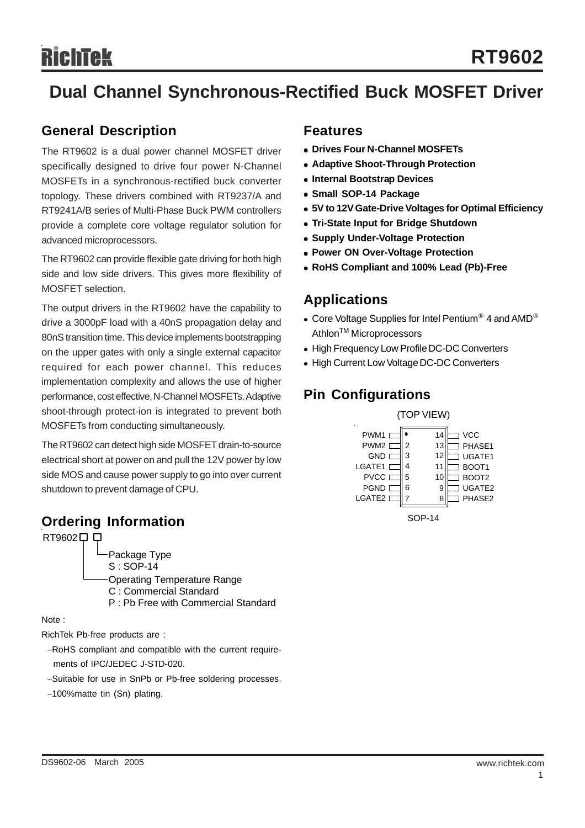# **Dual Channel Synchronous-Rectified Buck MOSFET Driver**

### **General Description**

The RT9602 is a dual power channel MOSFET driver specifically designed to drive four power N-Channel MOSFETs in a synchronous-rectified buck converter topology. These drivers combined with RT9237/A and RT9241A/B series of Multi-Phase Buck PWM controllers provide a complete core voltage regulator solution for advanced microprocessors.

The RT9602 can provide flexible gate driving for both high side and low side drivers. This gives more flexibility of MOSFET selection.

The output drivers in the RT9602 have the capability to drive a 3000pF load with a 40nS propagation delay and 80nS transition time. This device implements bootstrapping on the upper gates with only a single external capacitor required for each power channel. This reduces implementation complexity and allows the use of higher performance, cost effective, N-Channel MOSFETs. Adaptive shoot-through protect-ion is integrated to prevent both MOSFETs from conducting simultaneously.

The RT9602 can detect high side MOSFET drain-to-source electrical short at power on and pull the 12V power by low side MOS and cause power supply to go into over current shutdown to prevent damage of CPU.

#### **Ordering Information**

RT9602<sup>[1]</sup>

Package Type S : SOP-14 Operating Temperature Range C : Commercial Standard P : Pb Free with Commercial Standard

Note :

RichTek Pb-free products are :

−RoHS compliant and compatible with the current require ments of IPC/JEDEC J-STD-020.

- −Suitable for use in SnPb or Pb-free soldering processes.
- −100%matte tin (Sn) plating.

#### **Features**

- **Drives Four N-Channel MOSFETs**
- **Adaptive Shoot-Through Protection**
- **Internal Bootstrap Devices**
- $\bullet$  **Small SOP-14 Package**
- $\bullet$  **5V to 12V Gate-Drive Voltages for Optimal Efficiency**
- **Tri-State Input for Bridge Shutdown**
- **Supply Under-Voltage Protection**
- **Power ON Over-Voltage Protection**
- <sup>z</sup> **RoHS Compliant and 100% Lead (Pb)-Free**

#### **Applications**

- Core Voltage Supplies for Intel Pentium<sup>®</sup> 4 and AMD<sup>®</sup> Athlon<sup>™</sup> Microprocessors
- High Frequency Low Profile DC-DC Converters
- High Current Low Voltage DC-DC Converters

## **Pin Configurations**

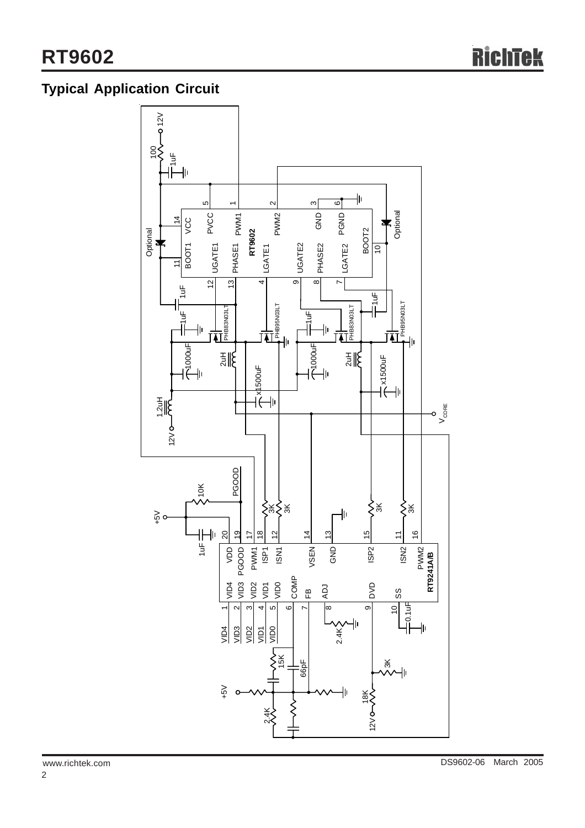## **Typical Application Circuit**

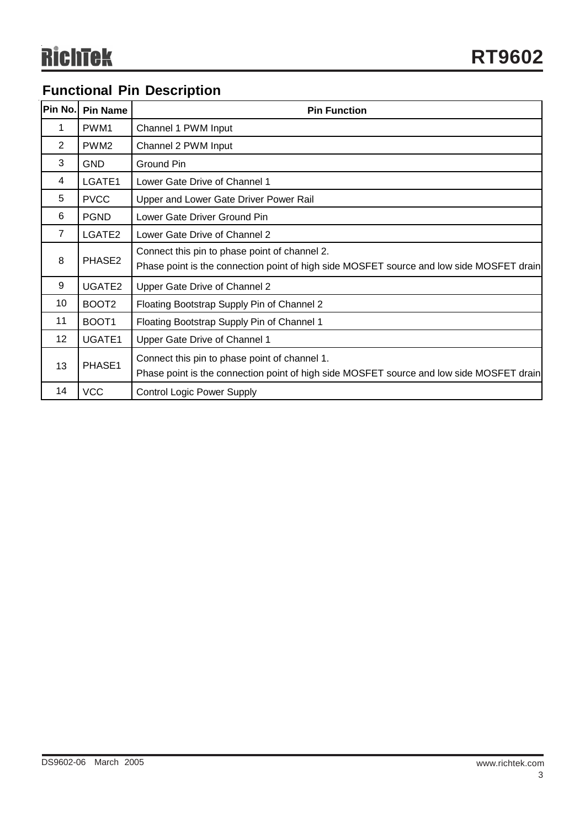## **Functional Pin Description**

| Pin No.         | <b>Pin Name</b>   | <b>Pin Function</b>                                                                                                                       |  |  |  |
|-----------------|-------------------|-------------------------------------------------------------------------------------------------------------------------------------------|--|--|--|
| 1               | PWM1              | Channel 1 PWM Input                                                                                                                       |  |  |  |
| 2               | PWM <sub>2</sub>  | Channel 2 PWM Input                                                                                                                       |  |  |  |
| 3               | <b>GND</b>        | Ground Pin                                                                                                                                |  |  |  |
| 4               | LGATE1            | Lower Gate Drive of Channel 1                                                                                                             |  |  |  |
| 5               | <b>PVCC</b>       | Upper and Lower Gate Driver Power Rail                                                                                                    |  |  |  |
| 6               | <b>PGND</b>       | Lower Gate Driver Ground Pin                                                                                                              |  |  |  |
| $\overline{7}$  | LGATE2            | Lower Gate Drive of Channel 2                                                                                                             |  |  |  |
| 8               | PHASE2            | Connect this pin to phase point of channel 2.<br>Phase point is the connection point of high side MOSFET source and low side MOSFET drain |  |  |  |
| 9               | UGATE2            | Upper Gate Drive of Channel 2                                                                                                             |  |  |  |
| 10              | BOOT <sub>2</sub> | Floating Bootstrap Supply Pin of Channel 2                                                                                                |  |  |  |
| 11              | BOOT <sub>1</sub> | Floating Bootstrap Supply Pin of Channel 1                                                                                                |  |  |  |
| 12 <sup>°</sup> | UGATE1            | Upper Gate Drive of Channel 1                                                                                                             |  |  |  |
| 13              | PHASE1            | Connect this pin to phase point of channel 1.<br>Phase point is the connection point of high side MOSFET source and low side MOSFET drain |  |  |  |
| 14              | <b>VCC</b>        | <b>Control Logic Power Supply</b>                                                                                                         |  |  |  |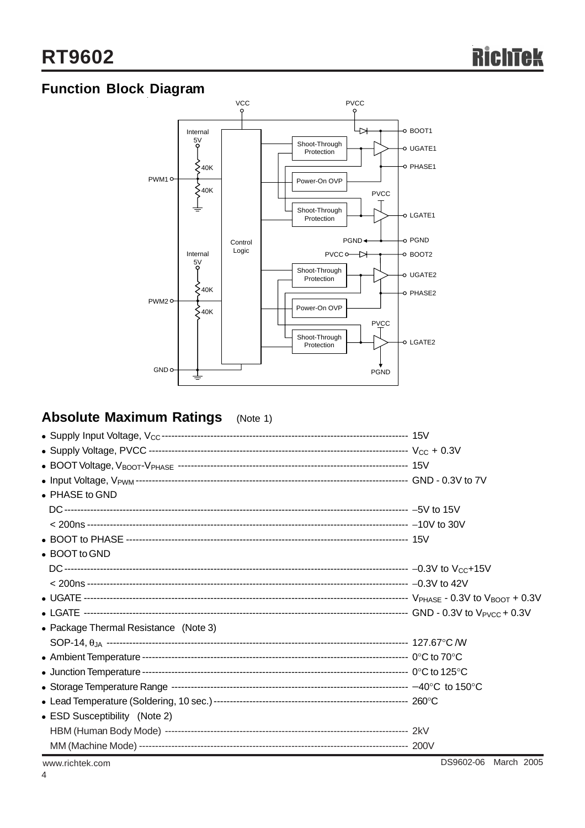## **Function Block Diagram**



## **Absolute Maximum Ratings** (Note 1)

| • PHASE to GND                        |                      |
|---------------------------------------|----------------------|
|                                       |                      |
|                                       |                      |
|                                       |                      |
| • BOOT to GND                         |                      |
|                                       |                      |
|                                       |                      |
|                                       |                      |
|                                       |                      |
| • Package Thermal Resistance (Note 3) |                      |
|                                       |                      |
|                                       |                      |
|                                       |                      |
|                                       |                      |
|                                       |                      |
| • ESD Susceptibility (Note 2)         |                      |
|                                       |                      |
|                                       |                      |
| www.richtek.com                       | DS9602-06 March 2005 |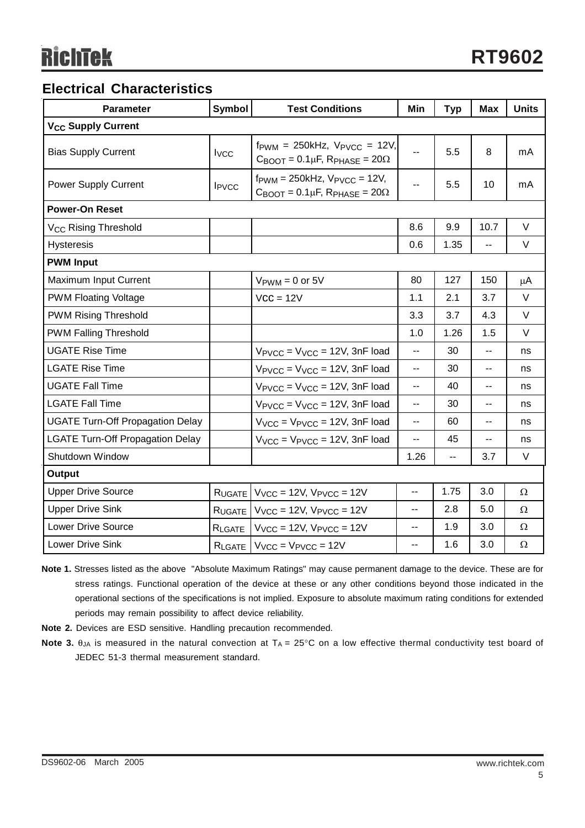## **Electrical Characteristics**

| <b>Parameter</b>                        | <b>Symbol</b>            | <b>Test Conditions</b>                                                                                                    | Min                      | <b>Typ</b>     | <b>Max</b>                                    | <b>Units</b> |  |  |  |
|-----------------------------------------|--------------------------|---------------------------------------------------------------------------------------------------------------------------|--------------------------|----------------|-----------------------------------------------|--------------|--|--|--|
| <b>V<sub>CC</sub> Supply Current</b>    |                          |                                                                                                                           |                          |                |                                               |              |  |  |  |
| <b>Bias Supply Current</b>              | $I_{VCC}$                | $f_{\text{PWM}} = 250kHz$ , $V_{\text{PVCC}} = 12V$ ,<br>$C_{\text{BOOT}} = 0.1 \mu F$ , R <sub>PHASE</sub> = 20 $\Omega$ | $\overline{a}$           | 5.5            | 8                                             | mA           |  |  |  |
| <b>Power Supply Current</b>             | <b>I</b> <sub>PVCC</sub> | $f_{\text{PWM}} = 250$ kHz, $V_{\text{PVCC}} = 12V$ ,<br>$C_{\text{BOOT}} = 0.1 \mu F$ , R <sub>PHASE</sub> = 20 $\Omega$ | $\overline{\phantom{a}}$ | 5.5            | 10                                            | mA           |  |  |  |
| <b>Power-On Reset</b>                   |                          |                                                                                                                           |                          |                |                                               |              |  |  |  |
| V <sub>CC</sub> Rising Threshold        |                          |                                                                                                                           | 8.6                      | 9.9            | 10.7                                          | V            |  |  |  |
| <b>Hysteresis</b>                       |                          |                                                                                                                           | 0.6                      | 1.35           | $\overline{\phantom{a}}$                      | V            |  |  |  |
| <b>PWM Input</b>                        |                          |                                                                                                                           |                          |                |                                               |              |  |  |  |
| Maximum Input Current                   |                          | $V_{\text{PWM}} = 0$ or 5V                                                                                                | 80                       | 127            | 150                                           | μA           |  |  |  |
| <b>PWM Floating Voltage</b>             |                          | $VCC = 12V$                                                                                                               | 1.1                      | 2.1            | 3.7                                           | V            |  |  |  |
| <b>PWM Rising Threshold</b>             |                          |                                                                                                                           | 3.3                      | 3.7            | 4.3                                           | V            |  |  |  |
| <b>PWM Falling Threshold</b>            |                          |                                                                                                                           | 1.0                      | 1.26           | 1.5                                           | $\vee$       |  |  |  |
| <b>UGATE Rise Time</b>                  |                          | $V_{\text{PVCC}} = V_{\text{VCC}} = 12V$ , 3nF load                                                                       | ÷.                       | 30             | $\overline{\phantom{a}}$                      | ns           |  |  |  |
| <b>LGATE Rise Time</b>                  |                          | $V_{\text{PVCC}} = V_{\text{VCC}} = 12V$ , 3nF load                                                                       | $-$                      | 30             | $-$                                           | ns           |  |  |  |
| <b>UGATE Fall Time</b>                  |                          | $V_{\text{PVCC}} = V_{\text{VCC}} = 12V$ , 3nF load                                                                       | $\overline{a}$           | 40             | --                                            | ns           |  |  |  |
| <b>LGATE Fall Time</b>                  |                          | $V_{\text{PVCC}} = V_{\text{VCC}} = 12V$ , 3nF load                                                                       | $\overline{a}$           | 30             | $\overline{a}$                                | ns           |  |  |  |
| <b>UGATE Turn-Off Propagation Delay</b> |                          | $V_{VCC}$ = $V_{PVCC}$ = 12V, 3nF load                                                                                    | $\overline{a}$           | 60             | $\overline{\phantom{a}}$                      | ns           |  |  |  |
| <b>LGATE Turn-Off Propagation Delay</b> |                          | $V_{VCC}$ = $V_{PVCC}$ = 12V, 3nF load                                                                                    | --                       | 45             | $\mathord{\hspace{1pt}\text{--}\hspace{1pt}}$ | ns           |  |  |  |
| Shutdown Window                         |                          |                                                                                                                           | 1.26                     | $\overline{a}$ | 3.7                                           | V            |  |  |  |
| Output                                  |                          |                                                                                                                           |                          |                |                                               |              |  |  |  |
| <b>Upper Drive Source</b>               | R <sub>UGATE</sub>       | $V_{VCC}$ = 12V, $V_{PVCC}$ = 12V                                                                                         | $\overline{a}$           | 1.75           | 3.0                                           | Ω            |  |  |  |
| <b>Upper Drive Sink</b>                 | RUGATE                   | $V_{VCC}$ = 12V, $V_{PVCC}$ = 12V                                                                                         | $\overline{a}$           | 2.8            | 5.0                                           | Ω            |  |  |  |
| <b>Lower Drive Source</b>               | RLGATE                   | $VVCC = 12V, VPVCC = 12V$                                                                                                 | $\overline{a}$           | 1.9            | 3.0                                           | Ω            |  |  |  |
| <b>Lower Drive Sink</b>                 |                          | $R_{LGATE}$ $V_{VCC}$ = $V_{PVCC}$ = 12V                                                                                  | $\overline{\phantom{a}}$ | 1.6            | 3.0                                           | $\Omega$     |  |  |  |

- **Note 1.** Stresses listed as the above "Absolute Maximum Ratings" may cause permanent damage to the device. These are for stress ratings. Functional operation of the device at these or any other conditions beyond those indicated in the operational sections of the specifications is not implied. Exposure to absolute maximum rating conditions for extended periods may remain possibility to affect device reliability.
- **Note 2.** Devices are ESD sensitive. Handling precaution recommended.
- **Note 3.**  $\theta_{JA}$  is measured in the natural convection at  $T_A = 25^\circ \text{C}$  on a low effective thermal conductivity test board of JEDEC 51-3 thermal measurement standard.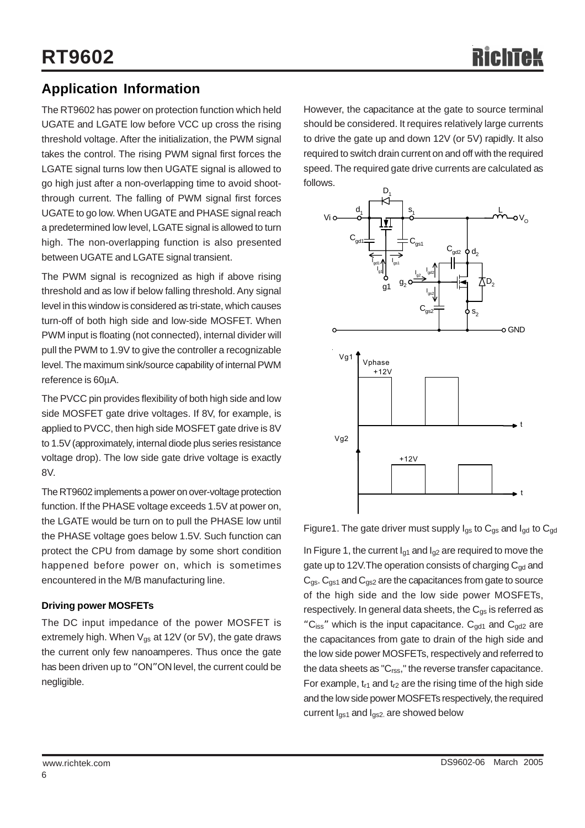## **Application Information**

The RT9602 has power on protection function which held UGATE and LGATE low before VCC up cross the rising threshold voltage. After the initialization, the PWM signal takes the control. The rising PWM signal first forces the LGATE signal turns low then UGATE signal is allowed to go high just after a non-overlapping time to avoid shootthrough current. The falling of PWM signal first forces UGATE to go low. When UGATE and PHASE signal reach a predetermined low level, LGATE signal is allowed to turn high. The non-overlapping function is also presented between UGATE and LGATE signal transient.

The PWM signal is recognized as high if above rising threshold and as low if below falling threshold. Any signal level in this window is considered as tri-state, which causes turn-off of both high side and low-side MOSFET. When PWM input is floating (not connected), internal divider will pull the PWM to 1.9V to give the controller a recognizable level. The maximum sink/source capability of internal PWM reference is 60μA.

The PVCC pin provides flexibility of both high side and low side MOSFET gate drive voltages. If 8V, for example, is applied to PVCC, then high side MOSFET gate drive is 8V to 1.5V (approximately, internal diode plus series resistance voltage drop). The low side gate drive voltage is exactly 8V.

The RT9602 implements a power on over-voltage protection function. If the PHASE voltage exceeds 1.5V at power on, the LGATE would be turn on to pull the PHASE low until the PHASE voltage goes below 1.5V. Such function can protect the CPU from damage by some short condition happened before power on, which is sometimes encountered in the M/B manufacturing line.

#### **Driving power MOSFETs**

The DC input impedance of the power MOSFET is extremely high. When  $V_{gs}$  at 12V (or 5V), the gate draws the current only few nanoamperes. Thus once the gate has been driven up to "ON"ON level, the current could be negligible.

However, the capacitance at the gate to source terminal should be considered. It requires relatively large currents to drive the gate up and down 12V (or 5V) rapidly. It also required to switch drain current on and off with the required speed. The required gate drive currents are calculated as follows.



Figure1. The gate driver must supply  $I_{gs}$  to  $C_{gs}$  and  $I_{gd}$  to  $C_{gd}$ 

In Figure 1, the current  $I_{q1}$  and  $I_{q2}$  are required to move the gate up to 12V. The operation consists of charging  $C_{\alpha d}$  and  $C_{\text{qs}}$ .  $C_{\text{qs1}}$  and  $C_{\text{qs2}}$  are the capacitances from gate to source of the high side and the low side power MOSFETs, respectively. In general data sheets, the  $C_{\alpha s}$  is referred as "C<sub>iss</sub>" which is the input capacitance.  $C_{qd1}$  and  $C_{qd2}$  are the capacitances from gate to drain of the high side and the low side power MOSFETs, respectively and referred to the data sheets as "C<sub>rss</sub>," the reverse transfer capacitance. For example,  $t_{r1}$  and  $t_{r2}$  are the rising time of the high side and the low side power MOSFETs respectively, the required current  $I_{qs1}$  and  $I_{qs2}$  are showed below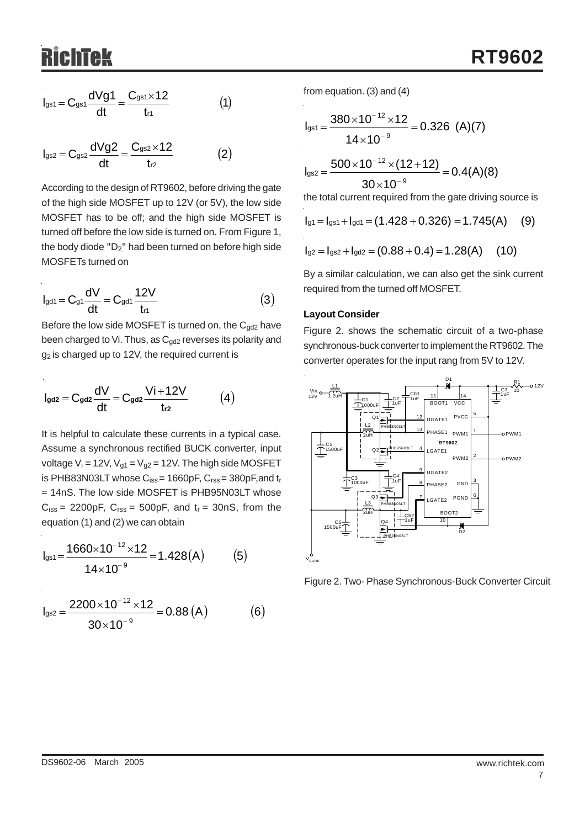$$
I_{gs1} = C_{gs1} \frac{dVg1}{dt} = \frac{C_{gs1} \times 12}{t_{r1}}
$$
 (1)

$$
I_{gs2} = C_{gs2} \frac{dVg2}{dt} = \frac{C_{gs2} \times 12}{t_{r2}} \tag{2}
$$

According to the design of RT9602, before driving the gate of the high side MOSFET up to 12V (or 5V), the low side MOSFET has to be off; and the high side MOSFET is turned off before the low side is turned on. From Figure 1, the body diode "D2" had been turned on before high side MOSFETs turned on

$$
I_{gd1} = C_{g1} \frac{dV}{dt} = C_{gd1} \frac{12V}{t_{r1}}
$$
 (3)

Before the low side MOSFET is turned on, the  $C_{gd2}$  have been charged to Vi. Thus, as  $C_{qd2}$  reverses its polarity and g<sub>2</sub> is charged up to 12V, the required current is

$$
I_{\text{gd2}}=C_{\text{gd2}}\frac{dV}{dt}=C_{\text{gd2}}\frac{Vi+12V}{t_{r2}} \hspace{1.0cm} (4)
$$

It is helpful to calculate these currents in a typical case. Assume a synchronous rectified BUCK converter, input voltage  $V_i = 12V$ ,  $V_{g1} = V_{g2} = 12V$ . The high side MOSFET is PHB83N03LT whose  $C_{iss}$  = 1660pF,  $C_{rss}$  = 380pF, and  $t_r$ = 14nS. The low side MOSFET is PHB95N03LT whose  $C_{iss}$  = 2200pF,  $C_{rss}$  = 500pF, and  $t_r$  = 30nS, from the equation (1) and (2) we can obtain

$$
I_{gs1} = \frac{1660 \times 10^{-12} \times 12}{14 \times 10^{-9}} = 1.428(A)
$$
 (5)

$$
I_{gs2} = \frac{2200 \times 10^{-12} \times 12}{30 \times 10^{-9}} = 0.88 (A)
$$
 (6)

from equation. (3) and (4)

$$
I_{gs1} = \frac{380 \times 10^{-12} \times 12}{14 \times 10^{-9}} = 0.326 \text{ (A)(7)}
$$
  

$$
I_{gs2} = \frac{500 \times 10^{-12} \times (12 + 12)}{30 \times 10^{-9}} = 0.4(A)(8)
$$
  
the total current required from the gate driving source is

$$
I_{g1} = I_{gs1} + I_{gd1} = (1.428 + 0.326) = 1.745(A)
$$
 (9)

$$
I_{g2} = I_{gs2} + I_{gd2} = (0.88 + 0.4) = 1.28(A) \quad (10)
$$

By a similar calculation, we can also get the sink current required from the turned off MOSFET.

#### **Layout Consider**

Figure 2. shows the schematic circuit of a two-phase synchronous-buck converter to implement the RT9602. The converter operates for the input rang from 5V to 12V.



Figure 2. Two- Phase Synchronous-Buck Converter Circuit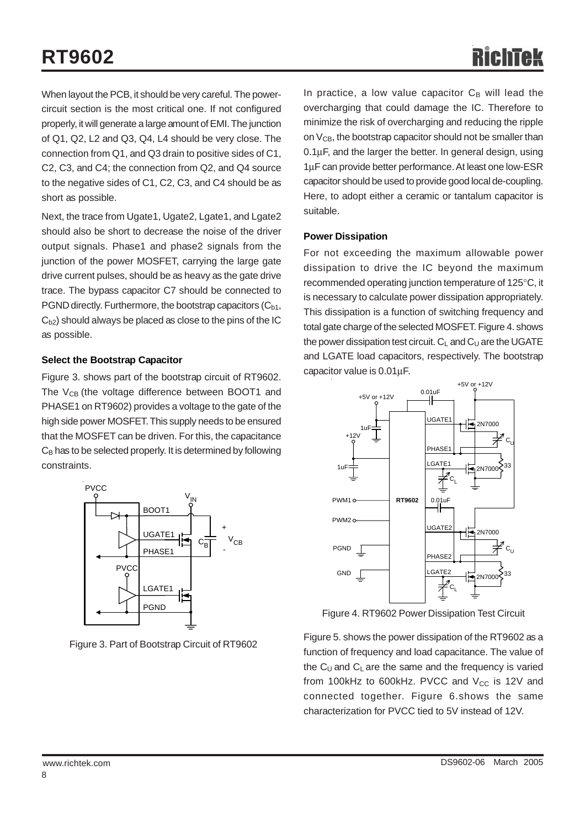When layout the PCB, it should be very careful. The powercircuit section is the most critical one. If not configured properly, it will generate a large amount of EMI. The junction of Q1, Q2, L2 and Q3, Q4, L4 should be very close. The connection from Q1, and Q3 drain to positive sides of C1, C2, C3, and C4; the connection from Q2, and Q4 source to the negative sides of C1, C2, C3, and C4 should be as short as possible.

Next, the trace from Ugate1, Ugate2, Lgate1, and Lgate2 should also be short to decrease the noise of the driver output signals. Phase1 and phase2 signals from the junction of the power MOSFET, carrying the large gate drive current pulses, should be as heavy as the gate drive trace. The bypass capacitor C7 should be connected to PGND directly. Furthermore, the bootstrap capacitors  $(C_{b1},$  $C<sub>b2</sub>$ ) should always be placed as close to the pins of the IC as possible.

#### **Select the Bootstrap Capacitor**

Figure 3. shows part of the bootstrap circuit of RT9602. The  $V_{CB}$  (the voltage difference between BOOT1 and PHASE1 on RT9602) provides a voltage to the gate of the high side power MOSFET. This supply needs to be ensured that the MOSFET can be driven. For this, the capacitance  $C_B$  has to be selected properly. It is determined by following constraints.



Figure 3. Part of Bootstrap Circuit of RT9602

In practice, a low value capacitor  $C_B$  will lead the overcharging that could damage the IC. Therefore to minimize the risk of overcharging and reducing the ripple on  $V_{CB}$ , the bootstrap capacitor should not be smaller than 0.1μF, and the larger the better. In general design, using 1μF can provide better performance. At least one low-ESR capacitor should be used to provide good local de-coupling. Here, to adopt either a ceramic or tantalum capacitor is suitable.

#### **Power Dissipation**

For not exceeding the maximum allowable power dissipation to drive the IC beyond the maximum recommended operating junction temperature of 125°C, it is necessary to calculate power dissipation appropriately. This dissipation is a function of switching frequency and total gate charge of the selected MOSFET. Figure 4. shows the power dissipation test circuit.  $C_1$  and  $C_1$  are the UGATE and LGATE load capacitors, respectively. The bootstrap capacitor value is 0.01μF.



Figure 4. RT9602 Power Dissipation Test Circuit

Figure 5. shows the power dissipation of the RT9602 as a function of frequency and load capacitance. The value of the  $C_U$  and  $C_L$  are the same and the frequency is varied from 100kHz to 600kHz. PVCC and  $V_{CC}$  is 12V and connected together. Figure 6.shows the same characterization for PVCC tied to 5V instead of 12V.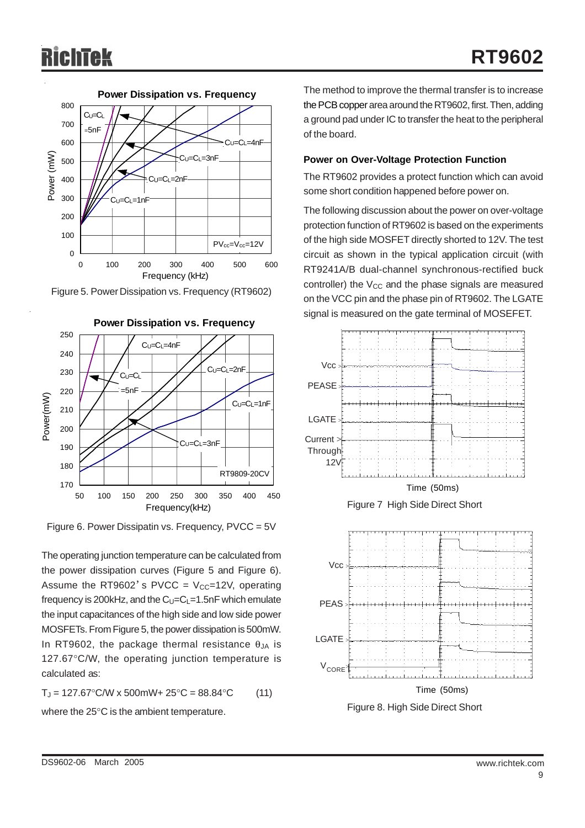

Figure 5. Power Dissipation vs. Frequency (RT9602)



Figure 6. Power Dissipatin vs. Frequency, PVCC = 5V

The operating junction temperature can be calculated from the power dissipation curves (Figure 5 and Figure 6). Assume the RT9602's PVCC =  $V_{CC}$ =12V, operating frequency is 200kHz, and the  $C_U=C_L=1.5nF$  which emulate the input capacitances of the high side and low side power MOSFETs. From Figure 5, the power dissipation is 500mW. In RT9602, the package thermal resistance  $\theta_{JA}$  is 127.67°C/W, the operating junction temperature is calculated as:

$$
T_J = 127.67^{\circ} \text{C/W} \times 500 \text{mW} + 25^{\circ} \text{C} = 88.84^{\circ} \text{C} \tag{11}
$$

where the 25°C is the ambient temperature.

The method to improve the thermal transfer is to increase the PCB copper area around the RT9602, first. Then, adding a ground pad under IC to transfer the heat to the peripheral of the board.

#### **Power on Over-Voltage Protection Function**

The RT9602 provides a protect function which can avoid some short condition happened before power on.

The following discussion about the power on over-voltage protection function of RT9602 is based on the experiments of the high side MOSFET directly shorted to 12V. The test circuit as shown in the typical application circuit (with RT9241A/B dual-channel synchronous-rectified buck controller) the  $V_{CC}$  and the phase signals are measured on the VCC pin and the phase pin of RT9602. The LGATE signal is measured on the gate terminal of MOSEFET.



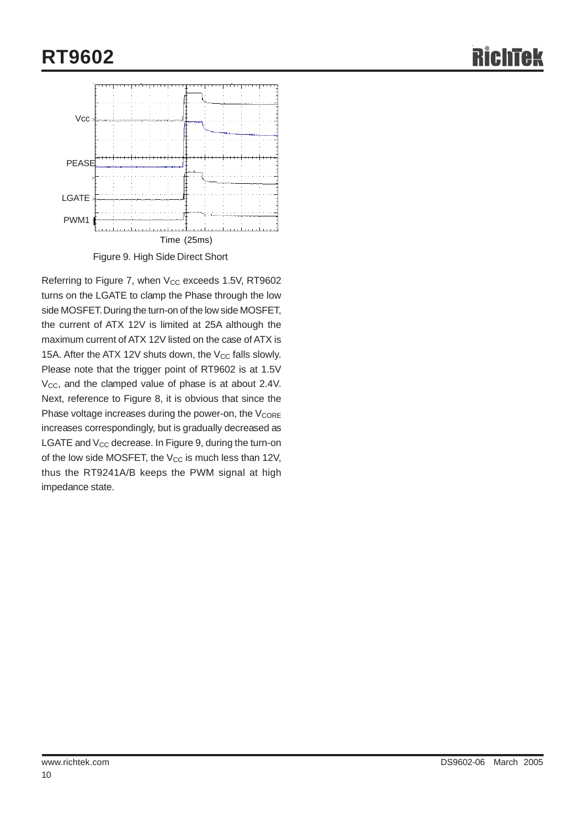# **RT9602**



Referring to Figure 7, when V<sub>CC</sub> exceeds 1.5V, RT9602 turns on the LGATE to clamp the Phase through the low side MOSFET. During the turn-on of the low side MOSFET, the current of ATX 12V is limited at 25A although the maximum current of ATX 12V listed on the case of ATX is 15A. After the ATX 12V shuts down, the  $V_{CC}$  falls slowly. Please note that the trigger point of RT9602 is at 1.5V  $V_{\text{CC}}$ , and the clamped value of phase is at about 2.4V. Next, reference to Figure 8, it is obvious that since the Phase voltage increases during the power-on, the  $V_{\text{CORE}}$ increases correspondingly, but is gradually decreased as LGATE and V<sub>CC</sub> decrease. In Figure 9, during the turn-on of the low side MOSFET, the  $V_{CC}$  is much less than 12V, thus the RT9241A/B keeps the PWM signal at high impedance state.